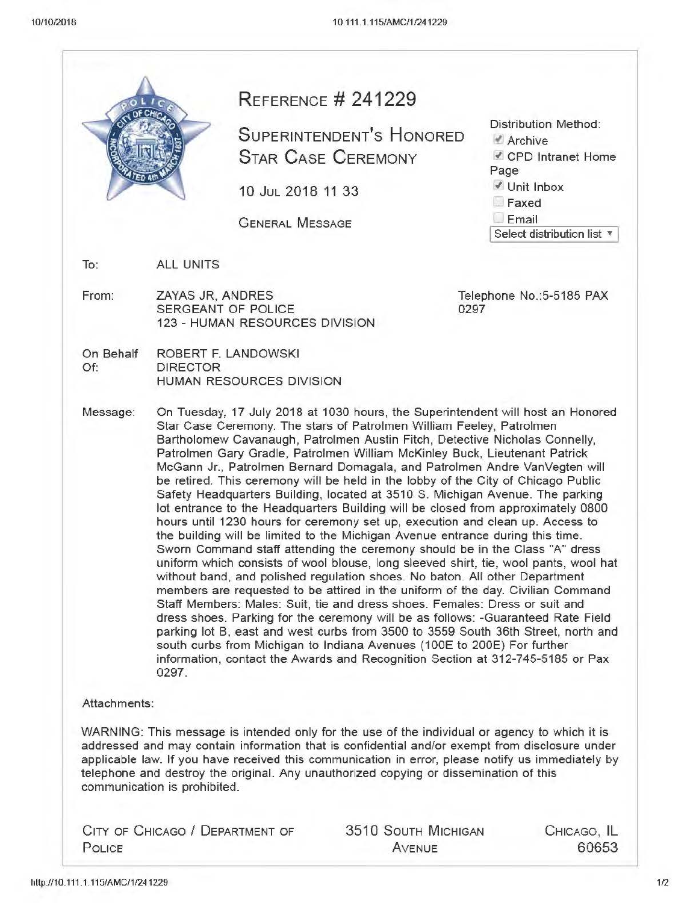|                                           |                                                                                                               | <b>REFERENCE # 241229</b><br><b>SUPERINTENDENT'S HONORED</b>                                                                                                                                                                                                                                                                                                                                                                                                                                                                                                                                                                                                                                                                                                                                                                                                                                                                                                                                                                                                                                                                                                                                                                                                                                                                                                                                                                                                                                               | Distribution Method:<br>Archive         |
|-------------------------------------------|---------------------------------------------------------------------------------------------------------------|------------------------------------------------------------------------------------------------------------------------------------------------------------------------------------------------------------------------------------------------------------------------------------------------------------------------------------------------------------------------------------------------------------------------------------------------------------------------------------------------------------------------------------------------------------------------------------------------------------------------------------------------------------------------------------------------------------------------------------------------------------------------------------------------------------------------------------------------------------------------------------------------------------------------------------------------------------------------------------------------------------------------------------------------------------------------------------------------------------------------------------------------------------------------------------------------------------------------------------------------------------------------------------------------------------------------------------------------------------------------------------------------------------------------------------------------------------------------------------------------------------|-----------------------------------------|
|                                           |                                                                                                               | <b>STAR CASE CEREMONY</b>                                                                                                                                                                                                                                                                                                                                                                                                                                                                                                                                                                                                                                                                                                                                                                                                                                                                                                                                                                                                                                                                                                                                                                                                                                                                                                                                                                                                                                                                                  | CPD Intranet Home<br>Page               |
|                                           |                                                                                                               | 10 JUL 2018 11 33                                                                                                                                                                                                                                                                                                                                                                                                                                                                                                                                                                                                                                                                                                                                                                                                                                                                                                                                                                                                                                                                                                                                                                                                                                                                                                                                                                                                                                                                                          | <i>V</i> Unit Inbox<br>Faxed            |
|                                           |                                                                                                               | <b>GENERAL MESSAGE</b>                                                                                                                                                                                                                                                                                                                                                                                                                                                                                                                                                                                                                                                                                                                                                                                                                                                                                                                                                                                                                                                                                                                                                                                                                                                                                                                                                                                                                                                                                     | $L$ Email<br>Select distribution list v |
| To:                                       | <b>ALL UNITS</b>                                                                                              |                                                                                                                                                                                                                                                                                                                                                                                                                                                                                                                                                                                                                                                                                                                                                                                                                                                                                                                                                                                                                                                                                                                                                                                                                                                                                                                                                                                                                                                                                                            |                                         |
| From:                                     | ZAYAS JR, ANDRES<br>Telephone No.: 5-5185 PAX<br>SERGEANT OF POLICE<br>0297<br>123 - HUMAN RESOURCES DIVISION |                                                                                                                                                                                                                                                                                                                                                                                                                                                                                                                                                                                                                                                                                                                                                                                                                                                                                                                                                                                                                                                                                                                                                                                                                                                                                                                                                                                                                                                                                                            |                                         |
| On Behalf<br>Of:                          | ROBERT F. LANDOWSKI<br><b>DIRECTOR</b><br>HUMAN RESOURCES DIVISION                                            |                                                                                                                                                                                                                                                                                                                                                                                                                                                                                                                                                                                                                                                                                                                                                                                                                                                                                                                                                                                                                                                                                                                                                                                                                                                                                                                                                                                                                                                                                                            |                                         |
|                                           | 0297.                                                                                                         | Star Case Ceremony. The stars of Patrolmen William Feeley, Patrolmen<br>Bartholomew Cavanaugh, Patrolmen Austin Fitch, Detective Nicholas Connelly,<br>Patrolmen Gary Gradle, Patrolmen William McKinley Buck, Lieutenant Patrick<br>McGann Jr., Patrolmen Bernard Domagala, and Patrolmen Andre VanVegten will<br>be retired. This ceremony will be held in the lobby of the City of Chicago Public<br>Safety Headquarters Building, located at 3510 S. Michigan Avenue. The parking<br>lot entrance to the Headquarters Building will be closed from approximately 0800<br>hours until 1230 hours for ceremony set up, execution and clean up. Access to<br>the building will be limited to the Michigan Avenue entrance during this time.<br>Sworn Command staff attending the ceremony should be in the Class "A" dress<br>uniform which consists of wool blouse, long sleeved shirt, tie, wool pants, wool hat<br>without band, and polished regulation shoes. No baton. All other Department<br>members are requested to be attired in the uniform of the day. Civilian Command<br>Staff Members: Males: Suit, tie and dress shoes. Females: Dress or suit and<br>dress shoes. Parking for the ceremony will be as follows: -Guaranteed Rate Field<br>parking lot B, east and west curbs from 3500 to 3559 South 36th Street, north and<br>south curbs from Michigan to Indiana Avenues (100E to 200E) For further<br>information, contact the Awards and Recognition Section at 312-745-5185 or Pax |                                         |
| Attachments:                              | communication is prohibited.                                                                                  | WARNING: This message is intended only for the use of the individual or agency to which it is<br>addressed and may contain information that is confidential and/or exempt from disclosure under<br>applicable law. If you have received this communication in error, please notify us immediately by<br>telephone and destroy the original. Any unauthorized copying or dissemination of this                                                                                                                                                                                                                                                                                                                                                                                                                                                                                                                                                                                                                                                                                                                                                                                                                                                                                                                                                                                                                                                                                                              |                                         |
| CITY OF CHICAGO / DEPARTMENT OF<br>POLICE |                                                                                                               | <b>3510 SOUTH MICHIGAN</b><br>AVENUE                                                                                                                                                                                                                                                                                                                                                                                                                                                                                                                                                                                                                                                                                                                                                                                                                                                                                                                                                                                                                                                                                                                                                                                                                                                                                                                                                                                                                                                                       | CHICAGO, IL<br>60653                    |